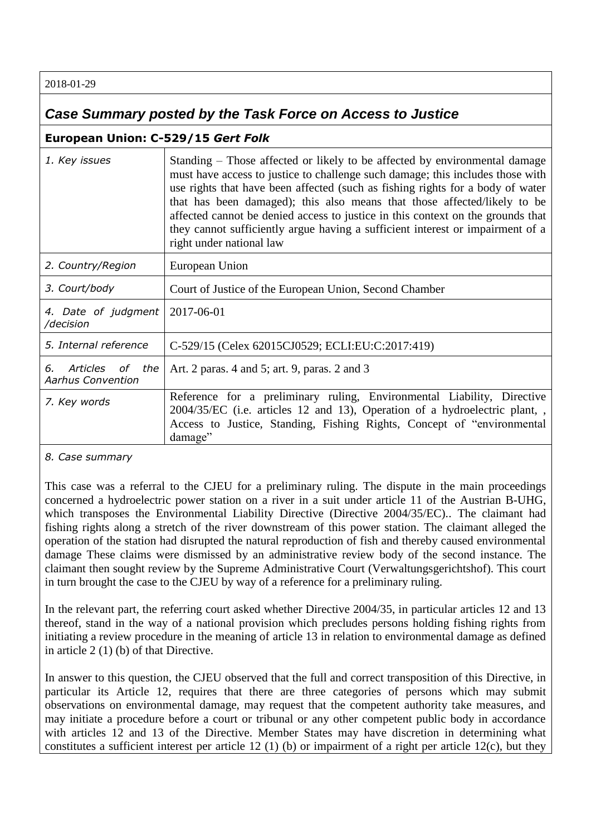2018-01-29

## *Case Summary posted by the Task Force on Access to Justice*

## **European Union: C-529/15** *Gert Folk*

| 1. Key issues                                           | Standing – Those affected or likely to be affected by environmental damage<br>must have access to justice to challenge such damage; this includes those with<br>use rights that have been affected (such as fishing rights for a body of water<br>that has been damaged); this also means that those affected/likely to be<br>affected cannot be denied access to justice in this context on the grounds that<br>they cannot sufficiently argue having a sufficient interest or impairment of a<br>right under national law |
|---------------------------------------------------------|-----------------------------------------------------------------------------------------------------------------------------------------------------------------------------------------------------------------------------------------------------------------------------------------------------------------------------------------------------------------------------------------------------------------------------------------------------------------------------------------------------------------------------|
| 2. Country/Region                                       | European Union                                                                                                                                                                                                                                                                                                                                                                                                                                                                                                              |
| 3. Court/body                                           | Court of Justice of the European Union, Second Chamber                                                                                                                                                                                                                                                                                                                                                                                                                                                                      |
| 4. Date of judgment<br>/decision                        | 2017-06-01                                                                                                                                                                                                                                                                                                                                                                                                                                                                                                                  |
| 5. Internal reference                                   | C-529/15 (Celex 62015CJ0529; ECLI:EU:C:2017:419)                                                                                                                                                                                                                                                                                                                                                                                                                                                                            |
| Articles<br>the<br>6.<br>of<br><b>Aarhus Convention</b> | Art. 2 paras. 4 and 5; art. 9, paras. 2 and 3                                                                                                                                                                                                                                                                                                                                                                                                                                                                               |
| 7. Key words                                            | Reference for a preliminary ruling, Environmental Liability, Directive<br>2004/35/EC (i.e. articles 12 and 13), Operation of a hydroelectric plant, ,<br>Access to Justice, Standing, Fishing Rights, Concept of "environmental<br>damage"                                                                                                                                                                                                                                                                                  |

## *8. Case summary*

This case was a referral to the CJEU for a preliminary ruling. The dispute in the main proceedings concerned a hydroelectric power station on a river in a suit under article 11 of the Austrian B-UHG, which transposes the Environmental Liability Directive (Directive 2004/35/EC).. The claimant had fishing rights along a stretch of the river downstream of this power station. The claimant alleged the operation of the station had disrupted the natural reproduction of fish and thereby caused environmental damage These claims were dismissed by an administrative review body of the second instance. The claimant then sought review by the Supreme Administrative Court (Verwaltungsgerichtshof). This court in turn brought the case to the CJEU by way of a reference for a preliminary ruling.

In the relevant part, the referring court asked whether Directive 2004/35, in particular articles 12 and 13 thereof, stand in the way of a national provision which precludes persons holding fishing rights from initiating a review procedure in the meaning of article 13 in relation to environmental damage as defined in article 2 (1) (b) of that Directive.

In answer to this question, the CJEU observed that the full and correct transposition of this Directive, in particular its Article 12, requires that there are three categories of persons which may submit observations on environmental damage, may request that the competent authority take measures, and may initiate a procedure before a court or tribunal or any other competent public body in accordance with articles 12 and 13 of the Directive. Member States may have discretion in determining what constitutes a sufficient interest per article 12 (1) (b) or impairment of a right per article 12(c), but they